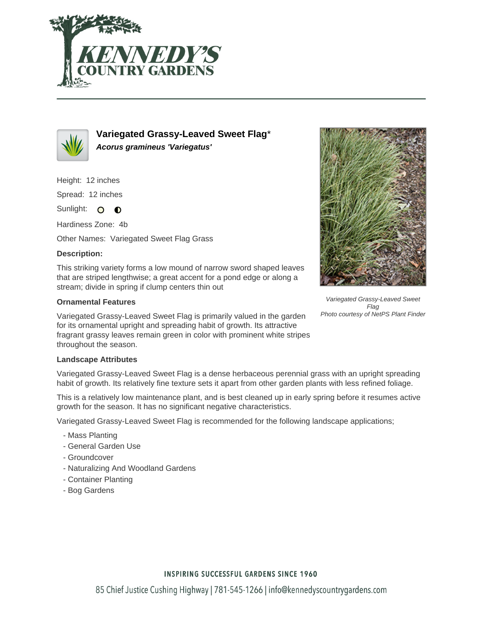



**Variegated Grassy-Leaved Sweet Flag**\* **Acorus gramineus 'Variegatus'**

Height: 12 inches

Spread: 12 inches

Sunlight: O **O** 

Hardiness Zone: 4b

Other Names: Variegated Sweet Flag Grass

## **Description:**

This striking variety forms a low mound of narrow sword shaped leaves that are striped lengthwise; a great accent for a pond edge or along a stream; divide in spring if clump centers thin out

## **Ornamental Features**

Variegated Grassy-Leaved Sweet Flag is primarily valued in the garden for its ornamental upright and spreading habit of growth. Its attractive fragrant grassy leaves remain green in color with prominent white stripes throughout the season.



Variegated Grassy-Leaved Sweet Flag Photo courtesy of NetPS Plant Finder

### **Landscape Attributes**

Variegated Grassy-Leaved Sweet Flag is a dense herbaceous perennial grass with an upright spreading habit of growth. Its relatively fine texture sets it apart from other garden plants with less refined foliage.

This is a relatively low maintenance plant, and is best cleaned up in early spring before it resumes active growth for the season. It has no significant negative characteristics.

Variegated Grassy-Leaved Sweet Flag is recommended for the following landscape applications;

- Mass Planting
- General Garden Use
- Groundcover
- Naturalizing And Woodland Gardens
- Container Planting
- Bog Gardens

### **INSPIRING SUCCESSFUL GARDENS SINCE 1960**